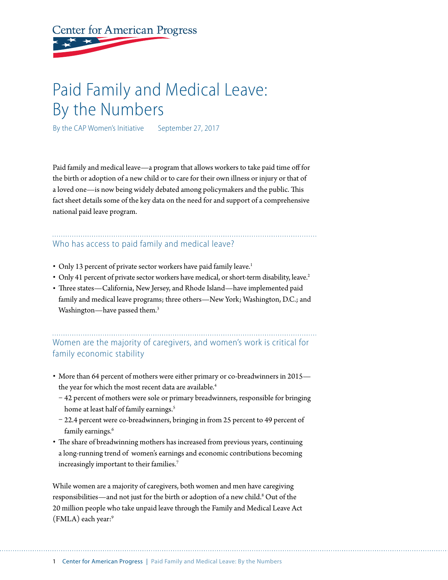# **Center for American Progress**

## Paid Family and Medical Leave: By the Numbers

By the CAP Women's Initiative September 27, 2017

Paid family and medical leave—a program that allows workers to take paid time off for the birth or adoption of a new child or to care for their own illness or injury or that of a loved one—is now being widely debated among policymakers and the public. This fact sheet details some of the key data on the need for and support of a comprehensive national paid leave program.

## Who has access to paid family and medical leave?

- Only 13 percent of private sector workers have paid family leave.<sup>1</sup>
- Only 41 percent of private sector workers have medical, or short-term disability, leave.<sup>2</sup>
- Three states—California, New Jersey, and Rhode Island—have implemented paid family and medical leave programs; three others—New York; Washington, D.C.; and Washington—have passed them.<sup>3</sup>

Women are the majority of caregivers, and women's work is critical for family economic stability

- More than 64 percent of mothers were either primary or co-breadwinners in 2015 the year for which the most recent data are available.<sup>4</sup>
	- [42 percent of mothers](https://www.americanprogress.org/issues/women/reports/2016/12/19/295203/breadwinning-mothers-are-increasingly-the-u-s-norm/) were sole or primary breadwinners, responsible for bringing home at least half of family earnings.<sup>5</sup>
	- 22.4 percent were co-breadwinners, bringing in from 25 percent to 49 percent of family earnings.<sup>6</sup>
- The share of breadwinning mothers has increased from previous years, continuing a long-running trend of women's earnings and economic contributions becoming increasingly important to their families.<sup>7</sup>

While women are a majority of caregivers, both women and men have caregiving responsibilities—and not just for the birth or adoption of a new child.<sup>8</sup> Out of the 20 million people who take unpaid leave through the Family and Medical Leave Act (FMLA) each year:<sup>9</sup>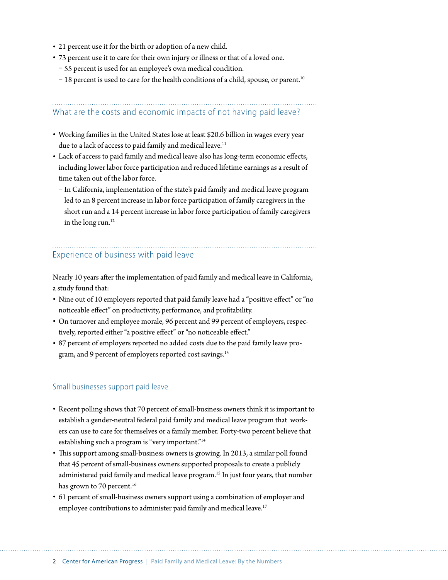- 21 percent use it for the birth or adoption of a new child.
- 73 percent use it to care for their own injury or illness or that of a loved one.
	- 55 percent is used for an employee's own medical condition.
	- $-18$  percent is used to care for the health conditions of a child, spouse, or parent.<sup>10</sup>

## What are the costs and economic impacts of not having paid leave?

- Working families in the United States lose at least \$20.6 billion in wages every year due to a lack of access to paid family and medical leave.<sup>11</sup>
- Lack of access to paid family and medical leave also has long-term economic effects, including lower labor force participation and reduced lifetime earnings as a result of time taken out of the labor force.
	- In California, implementation of the state's paid family and medical leave program led to an 8 percent increase in labor force participation of family caregivers in the short run and a 14 percent increase in labor force participation of family caregivers in the long run.<sup>12</sup>

## Experience of business with paid leave

Nearly 10 years after the implementation of paid family and medical leave in California, a study found that:

- Nine out of 10 employers reported that paid family leave had a "positive effect" or "no noticeable effect" on productivity, performance, and profitability.
- On turnover and employee morale, 96 percent and 99 percent of employers, respectively, reported either "a positive effect" or "no noticeable effect."
- 87 percent of employers reported no added costs due to the paid family leave program, and 9 percent of employers reported cost savings.<sup>13</sup>

#### Small businesses support paid leave

- Recent polling shows that 70 percent of small-business owners think it is important to establish a gender-neutral federal paid family and medical leave program that workers can use to care for themselves or a family member. Forty-two percent believe that establishing such a program is "very important."<sup>14</sup>
- This support among small-business owners is growing. In 2013, a similar poll found that 45 percent of small-business owners supported proposals to create a publicly administered paid family and medical leave program.<sup>15</sup> In just four years, that number has grown to 70 percent.<sup>16</sup>
- 61 percent of small-business owners support using a combination of employer and employee contributions to administer paid family and medical leave.<sup>17</sup>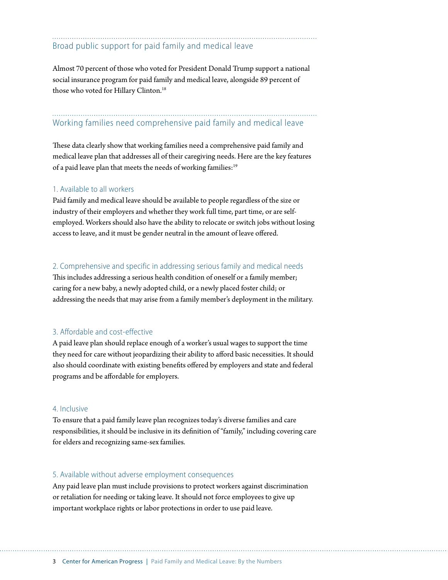### Broad public support for paid family and medical leave

Almost 70 percent of those who voted for President Donald Trump support a national social insurance program for paid family and medical leave, alongside 89 percent of those who voted for Hillary Clinton.<sup>18</sup>

## Working families need comprehensive paid family and medical leave

These data clearly show that working families need a comprehensive paid family and medical leave plan that addresses all of their caregiving needs. Here are the key features of a paid leave plan that meets the needs of working families:<sup>19</sup>

#### 1. Available to all workers

Paid family and medical leave should be available to people regardless of the size or industry of their employers and whether they work full time, part time, or are selfemployed. Workers should also have the ability to relocate or switch jobs without losing access to leave, and it must be gender neutral in the amount of leave offered.

#### 2. Comprehensive and specific in addressing serious family and medical needs

This includes addressing a serious health condition of oneself or a family member; caring for a new baby, a newly adopted child, or a newly placed foster child; or addressing the needs that may arise from a family member's deployment in the military.

#### 3. Affordable and cost-effective

A paid leave plan should replace enough of a worker's usual wages to support the time they need for care without jeopardizing their ability to afford basic necessities. It should also should coordinate with existing benefits offered by employers and state and federal programs and be affordable for employers.

#### 4. Inclusive

To ensure that a paid family leave plan recognizes today's diverse families and care responsibilities, it should be inclusive in its definition of "family," including covering care for elders and recognizing same-sex families.

#### 5. Available without adverse employment consequences

Any paid leave plan must include provisions to protect workers against discrimination or retaliation for needing or taking leave. It should not force employees to give up important workplace rights or labor protections in order to use paid leave.